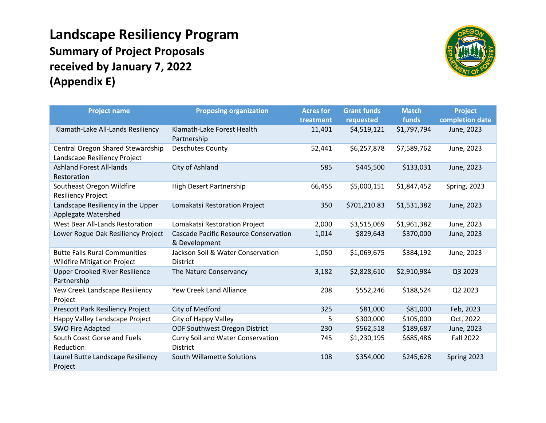## **Landscape Resiliency Program Summary of Project Proposals received by January 7, 2022 (Appendix E)**



| <b>Project name</b>                                                        | <b>Proposing organization</b>                                 | <b>Acres for</b> | <b>Grant funds</b> | <b>Match</b> | <b>Project</b>   |
|----------------------------------------------------------------------------|---------------------------------------------------------------|------------------|--------------------|--------------|------------------|
|                                                                            |                                                               | treatment        | requested          | funds        | completion date  |
| Klamath-Lake All-Lands Resiliency                                          | Klamath-Lake Forest Health<br>Partnership                     | 11,401           | \$4,519,121        | \$1,797,794  | June, 2023       |
| Central Oregon Shared Stewardship<br>Landscape Resiliency Project          | <b>Deschutes County</b>                                       | 52,441           | \$6,257,878        | \$7,589,762  | June, 2023       |
| <b>Ashland Forest All-lands</b><br>Restoration                             | City of Ashland                                               | 585              | \$445,500          | \$133,031    | June, 2023       |
| Southeast Oregon Wildfire<br>Resiliency Project                            | <b>High Desert Partnership</b>                                | 66,455           | \$5,000,151        | \$1,847,452  | Spring, 2023     |
| Landscape Resiliency in the Upper<br>Applegate Watershed                   | Lomakatsi Restoration Project                                 | 350              | \$701,210.83       | \$1,531,382  | June, 2023       |
| West Bear All-Lands Restoration                                            | Lomakatsi Restoration Project                                 | 2,000            | \$3,515,069        | \$1,961,382  | June, 2023       |
| Lower Rogue Oak Resiliency Project                                         | <b>Cascade Pacific Resource Conservation</b><br>& Development | 1,014            | \$829,643          | \$370,000    | June, 2023       |
| <b>Butte Falls Rural Communities</b><br><b>Wildfire Mitigation Project</b> | Jackson Soil & Water Conservation<br><b>District</b>          | 1,050            | \$1,069,675        | \$384,192    | June, 2023       |
| <b>Upper Crooked River Resilience</b><br>Partnership                       | The Nature Conservancy                                        | 3,182            | \$2,828,610        | \$2,910,984  | Q3 2023          |
| Yew Creek Landscape Resiliency<br>Project                                  | Yew Creek Land Alliance                                       | 208              | \$552,246          | \$188,524    | Q2 2023          |
| Prescott Park Resiliency Project                                           | City of Medford                                               | 325              | \$81,000           | \$81,000     | Feb, 2023        |
| Happy Valley Landscape Project                                             | City of Happy Valley                                          | 5                | \$300,000          | \$105,000    | Oct, 2022        |
| <b>SWO Fire Adapted</b>                                                    | ODF Southwest Oregon District                                 | 230              | \$562,518          | \$189,687    | June, 2023       |
| South Coast Gorse and Fuels<br>Reduction                                   | Curry Soil and Water Conservation<br><b>District</b>          | 745              | \$1,230,195        | \$685,486    | <b>Fall 2022</b> |
| Laurel Butte Landscape Resiliency<br>Project                               | South Willamette Solutions                                    | 108              | \$354,000          | \$245,628    | Spring 2023      |